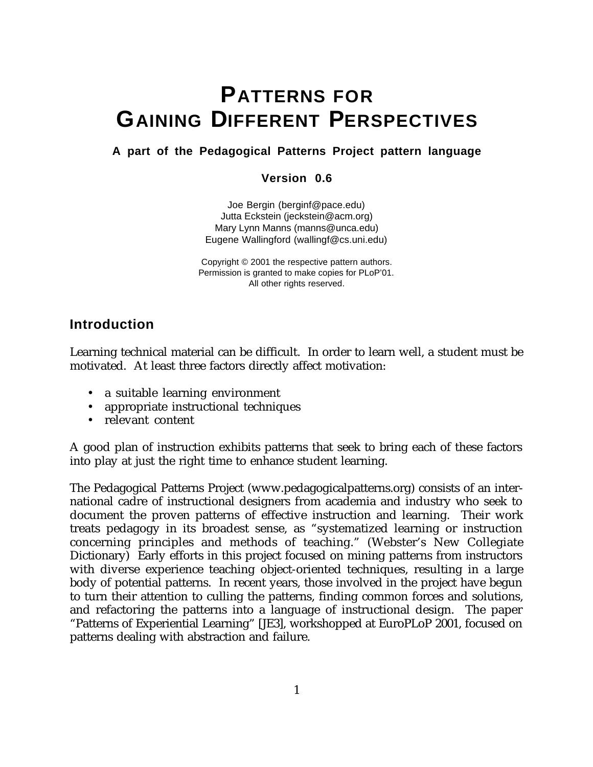# **PATTERNS FOR GAINING DIFFERENT PERSPECTIVES**

# **A part of the Pedagogical Patterns Project pattern language**

# **Version 0.6**

Joe Bergin (berginf@pace.edu) Jutta Eckstein (jeckstein@acm.org) Mary Lynn Manns (manns@unca.edu) Eugene Wallingford (wallingf@cs.uni.edu)

Copyright © 2001 the respective pattern authors. Permission is granted to make copies for PLoP'01. All other rights reserved.

# **Introduction**

Learning technical material can be difficult. In order to learn well, a student must be motivated. At least three factors directly affect motivation:

- a suitable learning environment
- appropriate instructional techniques
- relevant content

A good plan of instruction exhibits patterns that seek to bring each of these factors into play at just the right time to enhance student learning.

The Pedagogical Patterns Project (www.pedagogicalpatterns.org) consists of an international cadre of instructional designers from academia and industry who seek to document the proven patterns of effective instruction and learning. Their work treats pedagogy in its broadest sense, as "systematized learning or instruction concerning principles and methods of teaching." (Webster's New Collegiate Dictionary) Early efforts in this project focused on mining patterns from instructors with diverse experience teaching object-oriented techniques, resulting in a large body of potential patterns. In recent years, those involved in the project have begun to turn their attention to culling the patterns, finding common forces and solutions, and refactoring the patterns into a language of instructional design. The paper "Patterns of Experiential Learning" [JE3], workshopped at EuroPLoP 2001, focused on patterns dealing with abstraction and failure.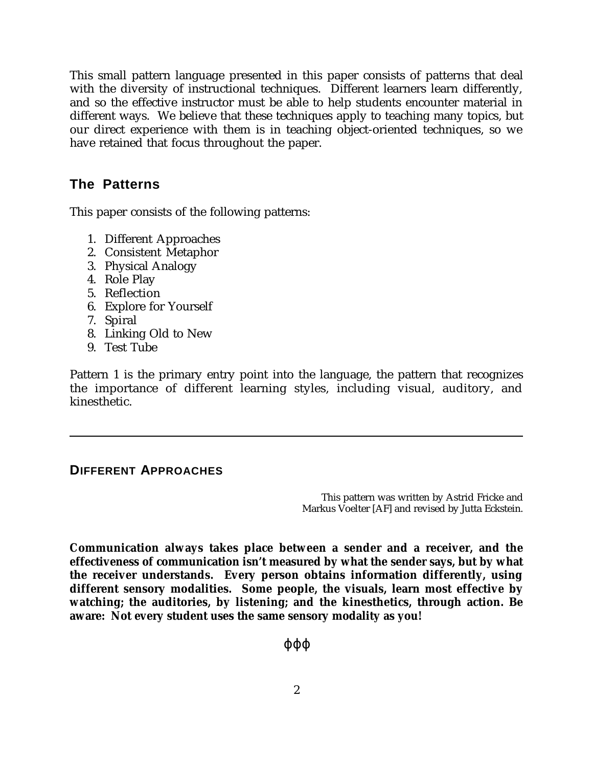This small pattern language presented in this paper consists of patterns that deal with the diversity of instructional techniques. Different learners learn differently, and so the effective instructor must be able to help students encounter material in different ways. We believe that these techniques apply to teaching many topics, but our direct experience with them is in teaching object-oriented techniques, so we have retained that focus throughout the paper.

# **The Patterns**

This paper consists of the following patterns:

- 1. Different Approaches
- 2. Consistent Metaphor
- 3. Physical Analogy
- 4. Role Play
- 5. Reflection
- 6. Explore for Yourself
- 7. Spiral
- 8. Linking Old to New
- 9. Test Tube

Pattern 1 is the primary entry point into the language, the pattern that recognizes the importance of different learning styles, including visual, auditory, and kinesthetic.

# **DIFFERENT APPROACHES**

This pattern was written by Astrid Fricke and Markus Voelter [AF] and revised by Jutta Eckstein.

**Communication always takes place between a sender and a receiver, and the effectiveness of communication isn't measured by what the sender says, but by what the receiver understands. Every person obtains information differently, using different sensory modalities. Some people, the visuals, learn most effective by watching; the auditories, by listening; and the kinesthetics, through action. Be aware: Not every student uses the same sensory modality as you!**

ϕϕϕ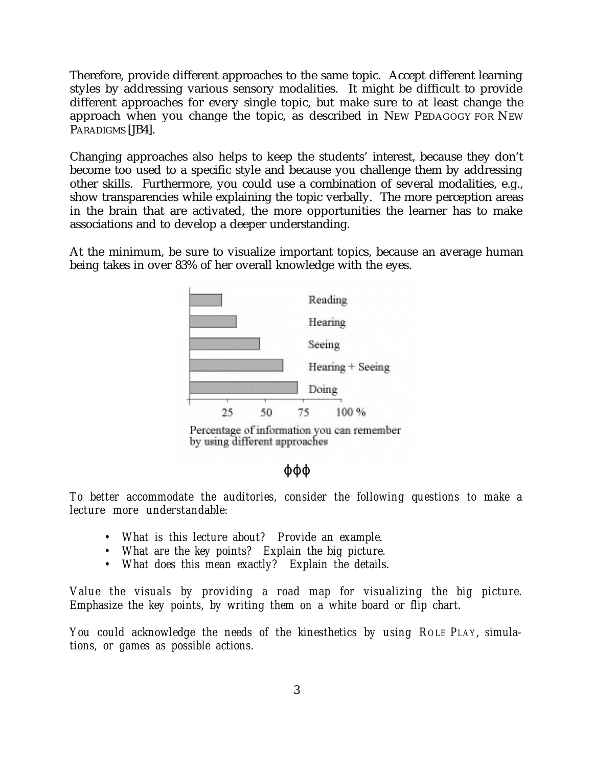Therefore, provide different approaches to the same topic. Accept different learning styles by addressing various sensory modalities. It might be difficult to provide different approaches for every single topic, but make sure to at least change the approach when you change the topic, as described in NEW PEDAGOGY FOR NEW PARADIGMS [JB4].

Changing approaches also helps to keep the students' interest, because they don't become too used to a specific style and because you challenge them by addressing other skills. Furthermore, you could use a combination of several modalities, e.g., show transparencies while explaining the topic verbally. The more perception areas in the brain that are activated, the more opportunities the learner has to make associations and to develop a deeper understanding.

At the minimum, be sure to visualize important topics, because an average human being takes in over 83% of her overall knowledge with the eyes.



Percentage of information you can remember by using different approaches

### ϕϕϕ

*To better accommodate the auditories, consider the following questions to make a lecture more understandable:*

- *What is this lecture about? Provide an example.*
- *What are the key points? Explain the big picture.*
- *What does this mean exactly? Explain the details.*

*Value the visuals by providing a road map for visualizing the big picture. Emphasize the key points, by writing them on a white board or flip chart.*

*You could acknowledge the needs of the kinesthetics by using ROLE PLAY, simulations, or games as possible actions.*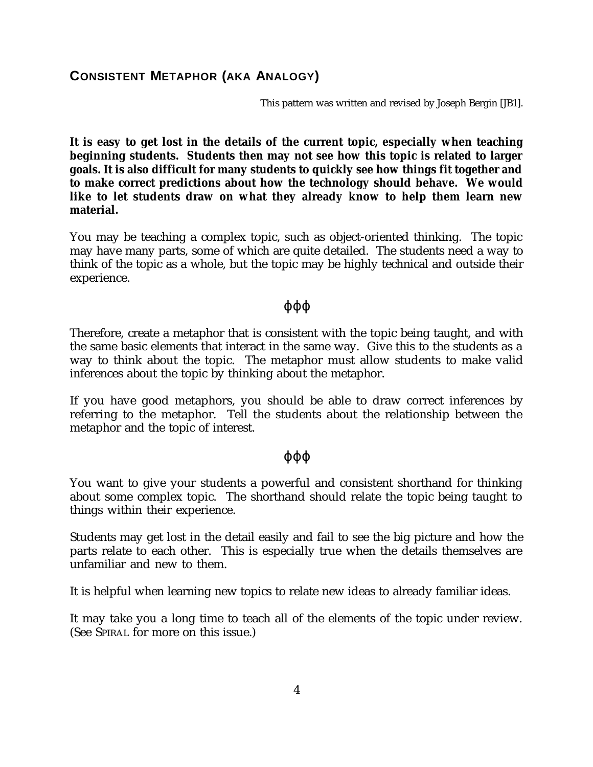# **CONSISTENT METAPHOR (AKA ANALOGY)**

This pattern was written and revised by Joseph Bergin [JB1].

**It is easy to get lost in the details of the current topic, especially when teaching beginning students. Students then may not see how this topic is related to larger goals. It is also difficult for many students to quickly see how things fit together and to make correct predictions about how the technology should behave. We would like to let students draw on what they already know to help them learn new material.**

You may be teaching a complex topic, such as object-oriented thinking. The topic may have many parts, some of which are quite detailed. The students need a way to think of the topic as a whole, but the topic may be highly technical and outside their experience.

### ϕϕϕ

Therefore, create a metaphor that is consistent with the topic being taught, and with the same basic elements that interact in the same way. Give this to the students as a way to think about the topic. The metaphor must allow students to make valid inferences about the topic by thinking about the metaphor.

If you have good metaphors, you should be able to draw correct inferences by referring to the metaphor. Tell the students about the relationship between the metaphor and the topic of interest.

### ϕϕϕ

You want to give your students a powerful and consistent shorthand for thinking about some complex topic. The shorthand should relate the topic being taught to things within their experience.

Students may get lost in the detail easily and fail to see the big picture and how the parts relate to each other. This is especially true when the details themselves are unfamiliar and new to them.

It is helpful when learning new topics to relate new ideas to already familiar ideas.

It may take you a long time to teach all of the elements of the topic under review. (See SPIRAL for more on this issue.)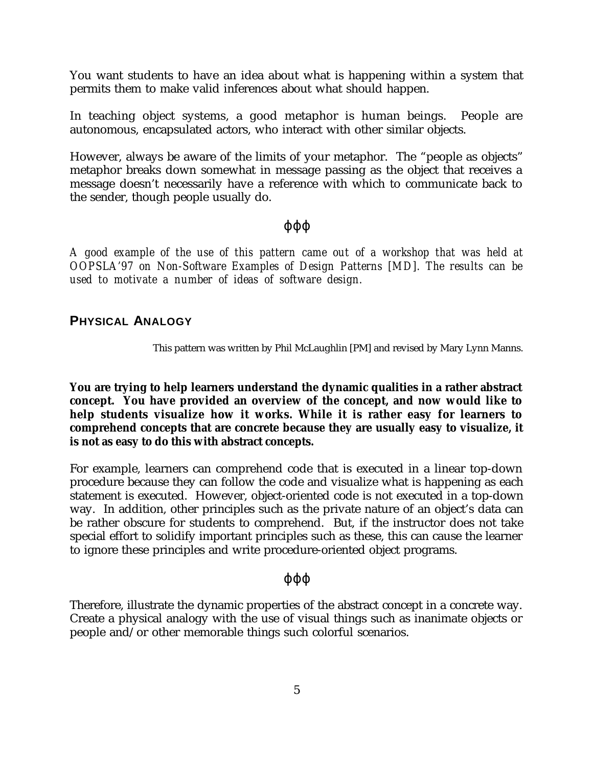You want students to have an idea about what is happening within a system that permits them to make valid inferences about what should happen.

In teaching object systems, a good metaphor is human beings. People are autonomous, encapsulated actors, who interact with other similar objects.

However, always be aware of the limits of your metaphor. The "people as objects" metaphor breaks down somewhat in message passing as the object that receives a message doesn't necessarily have a reference with which to communicate back to the sender, though people usually do.

# ϕϕϕ

*A good example of the use of this pattern came out of a workshop that was held at OOPSLA'97 on Non-Software Examples of Design Patterns [MD]. The results can be used to motivate a number of ideas of software design.*

# **PHYSICAL ANALOGY**

This pattern was written by Phil McLaughlin [PM] and revised by Mary Lynn Manns.

**You are trying to help learners understand the dynamic qualities in a rather abstract concept. You have provided an overview of the concept, and now would like to help students visualize how it works. While it is rather easy for learners to comprehend concepts that are concrete because they are usually easy to visualize, it is not as easy to do this with abstract concepts.**

For example, learners can comprehend code that is executed in a linear top-down procedure because they can follow the code and visualize what is happening as each statement is executed. However, object-oriented code is not executed in a top-down way. In addition, other principles such as the private nature of an object's data can be rather obscure for students to comprehend. But, if the instructor does not take special effort to solidify important principles such as these, this can cause the learner to ignore these principles and write procedure-oriented object programs.

# ϕϕϕ

Therefore, illustrate the dynamic properties of the abstract concept in a concrete way. Create a physical analogy with the use of visual things such as inanimate objects or people and/or other memorable things such colorful scenarios.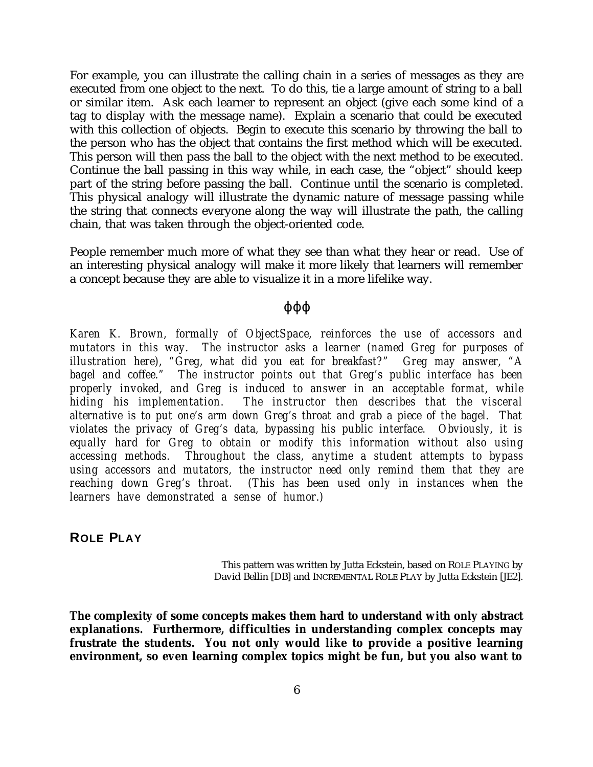For example, you can illustrate the calling chain in a series of messages as they are executed from one object to the next. To do this, tie a large amount of string to a ball or similar item. Ask each learner to represent an object (give each some kind of a tag to display with the message name). Explain a scenario that could be executed with this collection of objects. Begin to execute this scenario by throwing the ball to the person who has the object that contains the first method which will be executed. This person will then pass the ball to the object with the next method to be executed. Continue the ball passing in this way while, in each case, the "object" should keep part of the string before passing the ball. Continue until the scenario is completed. This physical analogy will illustrate the dynamic nature of message passing while the string that connects everyone along the way will illustrate the path, the calling chain, that was taken through the object-oriented code.

People remember much more of what they see than what they hear or read. Use of an interesting physical analogy will make it more likely that learners will remember a concept because they are able to visualize it in a more lifelike way.

### ϕϕϕ

*Karen K. Brown, formally of ObjectSpace, reinforces the use of accessors and mutators in this way. The instructor asks a learner (named Greg for purposes of illustration here), "Greg, what did you eat for breakfast?" Greg may answer, "A bagel and coffee." The instructor points out that Greg's public interface has been properly invoked, and Greg is induced to answer in an acceptable format, while hiding his implementation. The instructor then describes that the visceral alternative is to put one's arm down Greg's throat and grab a piece of the bagel. That violates the privacy of Greg's data, bypassing his public interface. Obviously, it is equally hard for Greg to obtain or modify this information without also using accessing methods. Throughout the class, anytime a student attempts to bypass using accessors and mutators, the instructor need only remind them that they are reaching down Greg's throat. (This has been used only in instances when the learners have demonstrated a sense of humor.)*

**ROLE PLAY**

This pattern was written by Jutta Eckstein, based on ROLE PLAYING by David Bellin [DB] and INCREMENTAL ROLE PLAY by Jutta Eckstein [JE2].

**The complexity of some concepts makes them hard to understand with only abstract explanations. Furthermore, difficulties in understanding complex concepts may frustrate the students. You not only would like to provide a positive learning environment, so even learning complex topics might be fun, but you also want to**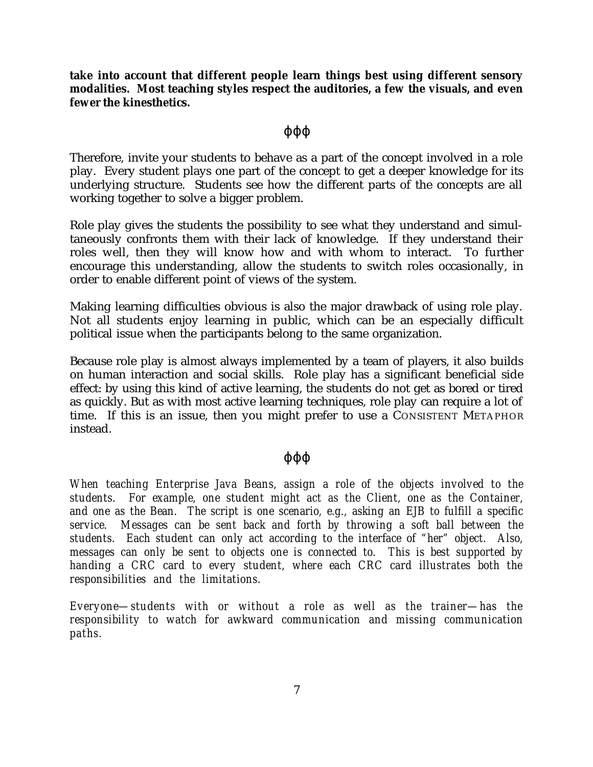**take into account that different people learn things best using different sensory modalities. Most teaching styles respect the auditories, a few the visuals, and even fewer the kinesthetics.**

# ϕϕϕ

Therefore, invite your students to behave as a part of the concept involved in a role play. Every student plays one part of the concept to get a deeper knowledge for its underlying structure. Students see how the different parts of the concepts are all working together to solve a bigger problem.

Role play gives the students the possibility to see what they understand and simultaneously confronts them with their lack of knowledge. If they understand their roles well, then they will know how and with whom to interact. To further encourage this understanding, allow the students to switch roles occasionally, in order to enable different point of views of the system.

Making learning difficulties obvious is also the major drawback of using role play. Not all students enjoy learning in public, which can be an especially difficult political issue when the participants belong to the same organization.

Because role play is almost always implemented by a team of players, it also builds on human interaction and social skills. Role play has a significant beneficial side effect: by using this kind of active learning, the students do not get as bored or tired as quickly. But as with most active learning techniques, role play can require a lot of time. If this is an issue, then you might prefer to use a CONSISTENT METAPHOR instead.

# ϕϕϕ

*When teaching Enterprise Java Beans, assign a role of the objects involved to the students. For example, one student might act as the Client, one as the Container, and one as the Bean. The script is one scenario, e.g., asking an EJB to fulfill a specific service. Messages can be sent back and forth by throwing a soft ball between the students. Each student can only act according to the interface of "her" object. Also, messages can only be sent to objects one is connected to. This is best supported by handing a CRC card to every student, where each CRC card illustrates both the responsibilities and the limitations.*

*Everyone—students with or without a role as well as the trainer—has the responsibility to watch for awkward communication and missing communication paths.*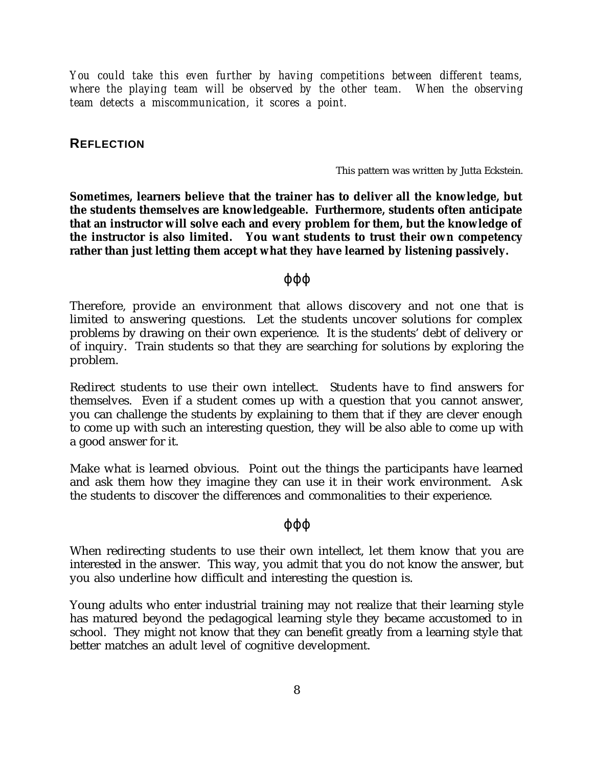*You could take this even further by having competitions between different teams, where the playing team will be observed by the other team. When the observing team detects a miscommunication, it scores a point.*

# **REFLECTION**

This pattern was written by Jutta Eckstein.

**Sometimes, learners believe that the trainer has to deliver all the knowledge, but the students themselves are knowledgeable. Furthermore, students often anticipate that an instructor will solve each and every problem for them, but the knowledge of the instructor is also limited. You want students to trust their own competency rather than just letting them accept what they have learned by listening passively.**

### ϕϕϕ

Therefore, provide an environment that allows discovery and not one that is limited to answering questions. Let the students uncover solutions for complex problems by drawing on their own experience. It is the students' debt of delivery or of inquiry. Train students so that they are searching for solutions by exploring the problem.

Redirect students to use their own intellect. Students have to find answers for themselves. Even if a student comes up with a question that you cannot answer, you can challenge the students by explaining to them that if they are clever enough to come up with such an interesting question, they will be also able to come up with a good answer for it.

Make what is learned obvious. Point out the things the participants have learned and ask them how they imagine they can use it in their work environment. Ask the students to discover the differences and commonalities to their experience.

### ϕϕϕ

When redirecting students to use their own intellect, let them know that you are interested in the answer. This way, you admit that you do not know the answer, but you also underline how difficult and interesting the question is.

Young adults who enter industrial training may not realize that their learning style has matured beyond the pedagogical learning style they became accustomed to in school. They might not know that they can benefit greatly from a learning style that better matches an adult level of cognitive development.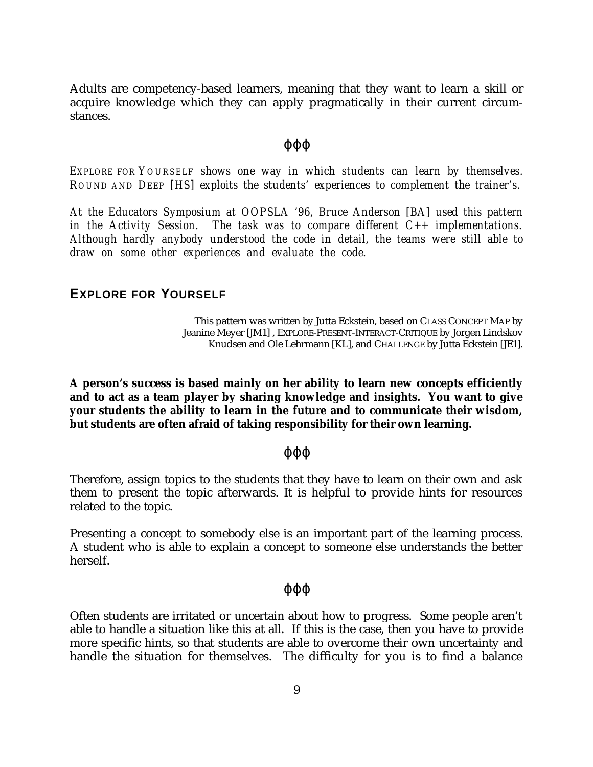Adults are competency-based learners, meaning that they want to learn a skill or acquire knowledge which they can apply pragmatically in their current circumstances.

#### ϕϕϕ

*EXPLORE FOR YOURSELF shows one way in which students can learn by themselves. ROUND AND DEEP [HS] exploits the students' experiences to complement the trainer's.*

*At the Educators Symposium at OOPSLA '96, Bruce Anderson [BA] used this pattern in the Activity Session. The task was to compare different C++ implementations. Although hardly anybody understood the code in detail, the teams were still able to draw on some other experiences and evaluate the code.*

# **EXPLORE FOR YOURSELF**

This pattern was written by Jutta Eckstein, based on CLASS CONCEPT MAP by Jeanine Meyer [JM1] , EXPLORE-PRESENT-INTERACT-CRITIQUE by Jorgen Lindskov Knudsen and Ole Lehrmann [KL], and CHALLENGE by Jutta Eckstein [JE1].

**A person's success is based mainly on her ability to learn new concepts efficiently and to act as a team player by sharing knowledge and insights. You want to give your students the ability to learn in the future and to communicate their wisdom, but students are often afraid of taking responsibility for their own learning.**

#### ϕϕϕ

Therefore, assign topics to the students that they have to learn on their own and ask them to present the topic afterwards. It is helpful to provide hints for resources related to the topic.

Presenting a concept to somebody else is an important part of the learning process. A student who is able to explain a concept to someone else understands the better herself.

#### ϕϕϕ

Often students are irritated or uncertain about how to progress. Some people aren't able to handle a situation like this at all. If this is the case, then you have to provide more specific hints, so that students are able to overcome their own uncertainty and handle the situation for themselves. The difficulty for you is to find a balance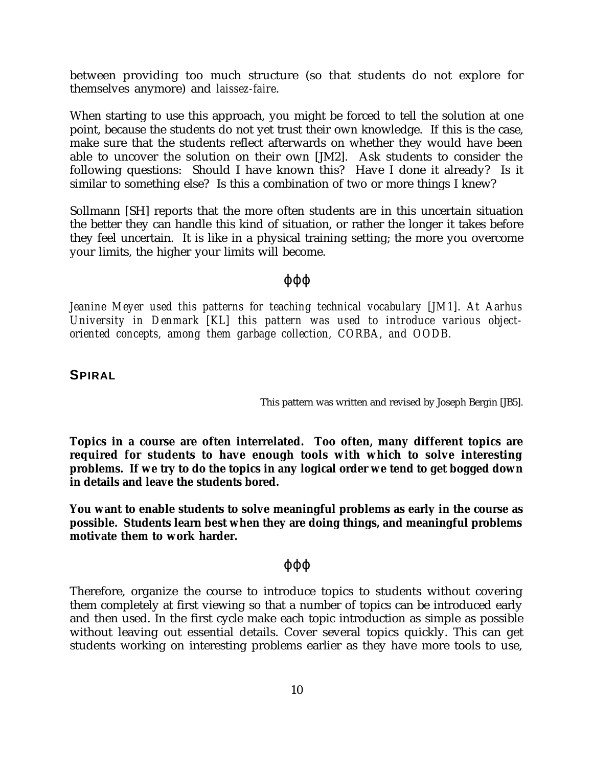between providing too much structure (so that students do not explore for themselves anymore) and *laissez-faire*.

When starting to use this approach, you might be forced to tell the solution at one point, because the students do not yet trust their own knowledge. If this is the case, make sure that the students reflect afterwards on whether they would have been able to uncover the solution on their own [JM2]. Ask students to consider the following questions: Should I have known this? Have I done it already? Is it similar to something else? Is this a combination of two or more things I knew?

Sollmann [SH] reports that the more often students are in this uncertain situation the better they can handle this kind of situation, or rather the longer it takes before they feel uncertain. It is like in a physical training setting; the more you overcome your limits, the higher your limits will become.

# ϕϕϕ

*Jeanine Meyer used this patterns for teaching technical vocabulary [JM1]. At Aarhus University in Denmark [KL] this pattern was used to introduce various objectoriented concepts, among them garbage collection, CORBA, and OODB.*

# **SPIRAL**

This pattern was written and revised by Joseph Bergin [JB5].

**Topics in a course are often interrelated. Too often, many different topics are required for students to have enough tools with which to solve interesting problems. If we try to do the topics in any logical order we tend to get bogged down in details and leave the students bored.**

**You want to enable students to solve meaningful problems as early in the course as possible. Students learn best when they are doing things, and meaningful problems motivate them to work harder.**

### ϕϕϕ

Therefore, organize the course to introduce topics to students without covering them completely at first viewing so that a number of topics can be introduced early and then used. In the first cycle make each topic introduction as simple as possible without leaving out essential details. Cover several topics quickly. This can get students working on interesting problems earlier as they have more tools to use,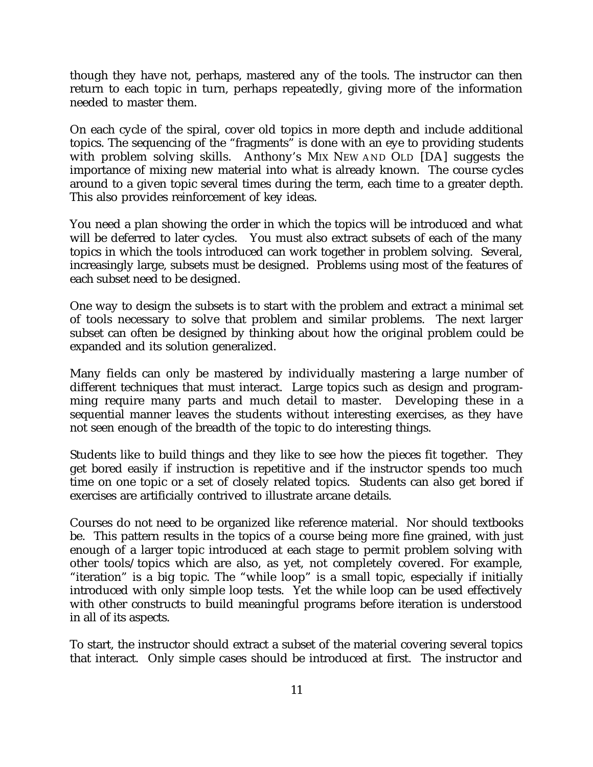though they have not, perhaps, mastered any of the tools. The instructor can then return to each topic in turn, perhaps repeatedly, giving more of the information needed to master them.

On each cycle of the spiral, cover old topics in more depth and include additional topics. The sequencing of the "fragments" is done with an eye to providing students with problem solving skills. Anthony's MIX NEW AND OLD [DA] suggests the importance of mixing new material into what is already known. The course cycles around to a given topic several times during the term, each time to a greater depth. This also provides reinforcement of key ideas.

You need a plan showing the order in which the topics will be introduced and what will be deferred to later cycles. You must also extract subsets of each of the many topics in which the tools introduced can work together in problem solving. Several, increasingly large, subsets must be designed. Problems using most of the features of each subset need to be designed.

One way to design the subsets is to start with the problem and extract a minimal set of tools necessary to solve that problem and similar problems. The next larger subset can often be designed by thinking about how the original problem could be expanded and its solution generalized.

Many fields can only be mastered by individually mastering a large number of different techniques that must interact. Large topics such as design and programming require many parts and much detail to master. Developing these in a sequential manner leaves the students without interesting exercises, as they have not seen enough of the breadth of the topic to do interesting things.

Students like to build things and they like to see how the pieces fit together. They get bored easily if instruction is repetitive and if the instructor spends too much time on one topic or a set of closely related topics. Students can also get bored if exercises are artificially contrived to illustrate arcane details.

Courses do not need to be organized like reference material. Nor should textbooks be. This pattern results in the topics of a course being more fine grained, with just enough of a larger topic introduced at each stage to permit problem solving with other tools/topics which are also, as yet, not completely covered. For example, "iteration" is a big topic. The "while loop" is a small topic, especially if initially introduced with only simple loop tests. Yet the while loop can be used effectively with other constructs to build meaningful programs before iteration is understood in all of its aspects.

To start, the instructor should extract a subset of the material covering several topics that interact. Only simple cases should be introduced at first. The instructor and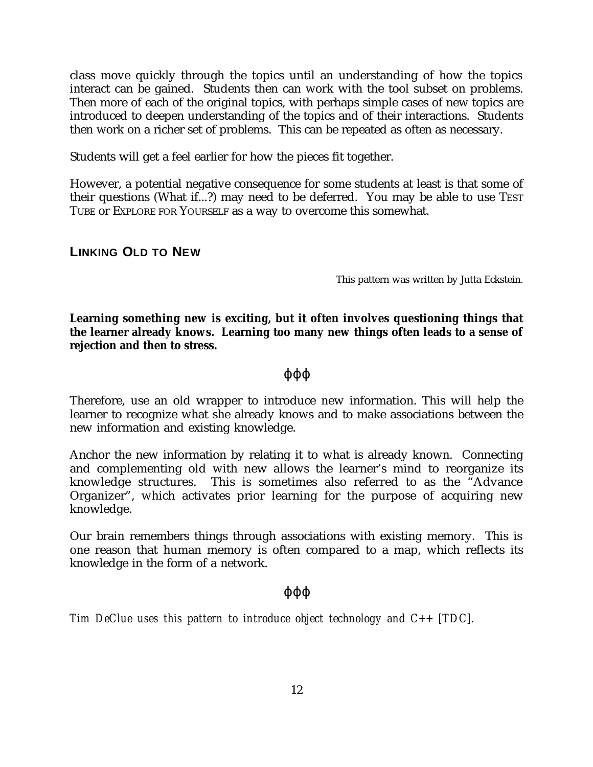class move quickly through the topics until an understanding of how the topics interact can be gained. Students then can work with the tool subset on problems. Then more of each of the original topics, with perhaps simple cases of new topics are introduced to deepen understanding of the topics and of their interactions. Students then work on a richer set of problems. This can be repeated as often as necessary.

Students will get a feel earlier for how the pieces fit together.

However, a potential negative consequence for some students at least is that some of their questions (What if...?) may need to be deferred. You may be able to use TEST TUBE or EXPLORE FOR YOURSELF as a way to overcome this somewhat.

# **LINKING OLD TO NEW**

This pattern was written by Jutta Eckstein.

**Learning something new is exciting, but it often involves questioning things that the learner already knows. Learning too many new things often leads to a sense of rejection and then to stress.**

# ϕϕϕ

Therefore, use an old wrapper to introduce new information. This will help the learner to recognize what she already knows and to make associations between the new information and existing knowledge.

Anchor the new information by relating it to what is already known. Connecting and complementing old with new allows the learner's mind to reorganize its knowledge structures. This is sometimes also referred to as the "Advance Organizer", which activates prior learning for the purpose of acquiring new knowledge.

Our brain remembers things through associations with existing memory. This is one reason that human memory is often compared to a map, which reflects its knowledge in the form of a network.

### ϕϕϕ

*Tim DeClue uses this pattern to introduce object technology and C++ [TDC].*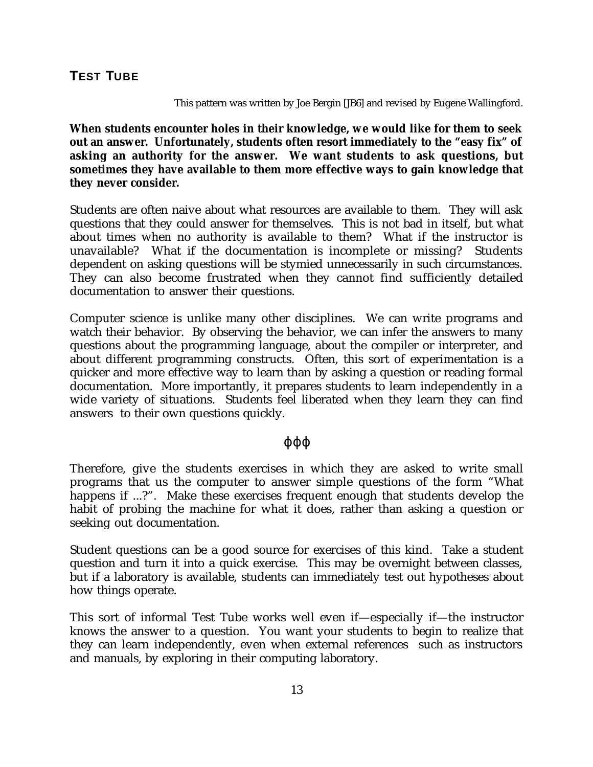### This pattern was written by Joe Bergin [JB6] and revised by Eugene Wallingford.

**When students encounter holes in their knowledge, we would like for them to seek out an answer. Unfortunately, students often resort immediately to the "easy fix" of asking an authority for the answer. We want students to ask questions, but sometimes they have available to them more effective ways to gain knowledge that they never consider.**

Students are often naive about what resources are available to them. They will ask questions that they could answer for themselves. This is not bad in itself, but what about times when no authority is available to them? What if the instructor is unavailable? What if the documentation is incomplete or missing? Students dependent on asking questions will be stymied unnecessarily in such circumstances. They can also become frustrated when they cannot find sufficiently detailed documentation to answer their questions.

Computer science is unlike many other disciplines. We can write programs and watch their behavior. By observing the behavior, we can infer the answers to many questions about the programming language, about the compiler or interpreter, and about different programming constructs. Often, this sort of experimentation is a quicker and more effective way to learn than by asking a question or reading formal documentation. More importantly, it prepares students to learn independently in a wide variety of situations. Students feel liberated when they learn they can find answers to their own questions quickly.

# ϕϕϕ

Therefore, give the students exercises in which they are asked to write small programs that us the computer to answer simple questions of the form "What happens if ...?". Make these exercises frequent enough that students develop the habit of probing the machine for what it does, rather than asking a question or seeking out documentation.

Student questions can be a good source for exercises of this kind. Take a student question and turn it into a quick exercise. This may be overnight between classes, but if a laboratory is available, students can immediately test out hypotheses about how things operate.

This sort of informal Test Tube works well even if—especially if—the instructor knows the answer to a question. You want your students to begin to realize that they can learn independently, even when external references such as instructors and manuals, by exploring in their computing laboratory.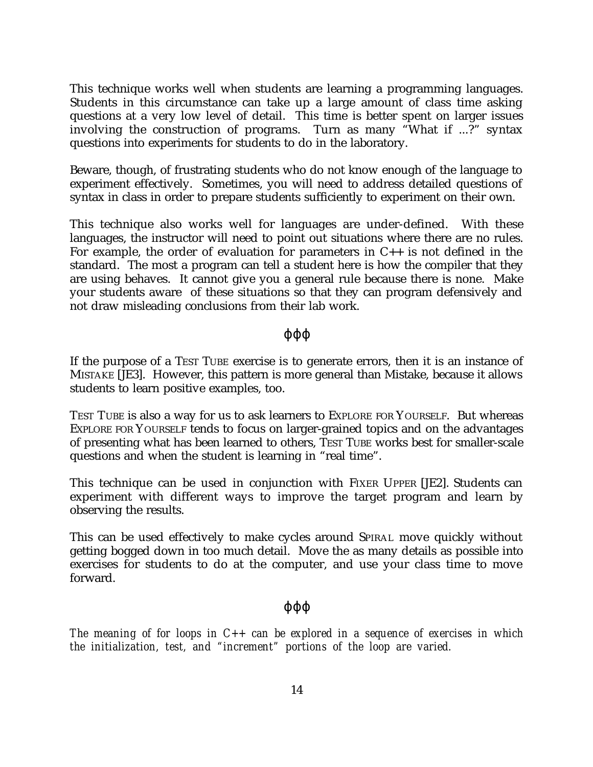This technique works well when students are learning a programming languages. Students in this circumstance can take up a large amount of class time asking questions at a very low level of detail. This time is better spent on larger issues involving the construction of programs. Turn as many "What if ...?" syntax questions into experiments for students to do in the laboratory.

Beware, though, of frustrating students who do not know enough of the language to experiment effectively. Sometimes, you will need to address detailed questions of syntax in class in order to prepare students sufficiently to experiment on their own.

This technique also works well for languages are under-defined. With these languages, the instructor will need to point out situations where there are no rules. For example, the order of evaluation for parameters in  $C_{++}$  is not defined in the standard. The most a program can tell a student here is how the compiler that they are using behaves. It cannot give you a general rule because there is none. Make your students aware of these situations so that they can program defensively and not draw misleading conclusions from their lab work.

### ϕϕϕ

If the purpose of a TEST TUBE exercise is to generate errors, then it is an instance of MISTAKE [JE3]. However, this pattern is more general than Mistake, because it allows students to learn positive examples, too.

TEST TUBE is also a way for us to ask learners to EXPLORE FOR YOURSELF. But whereas EXPLORE FOR YOURSELF tends to focus on larger-grained topics and on the advantages of presenting what has been learned to others, TEST TUBE works best for smaller-scale questions and when the student is learning in "real time".

This technique can be used in conjunction with FIXER UPPER [JE2]. Students can experiment with different ways to improve the target program and learn by observing the results.

This can be used effectively to make cycles around SPIRAL move quickly without getting bogged down in too much detail. Move the as many details as possible into exercises for students to do at the computer, and use your class time to move forward.

# ϕϕϕ

*The meaning of for loops in C++ can be explored in a sequence of exercises in which the initialization, test, and "increment" portions of the loop are varied.*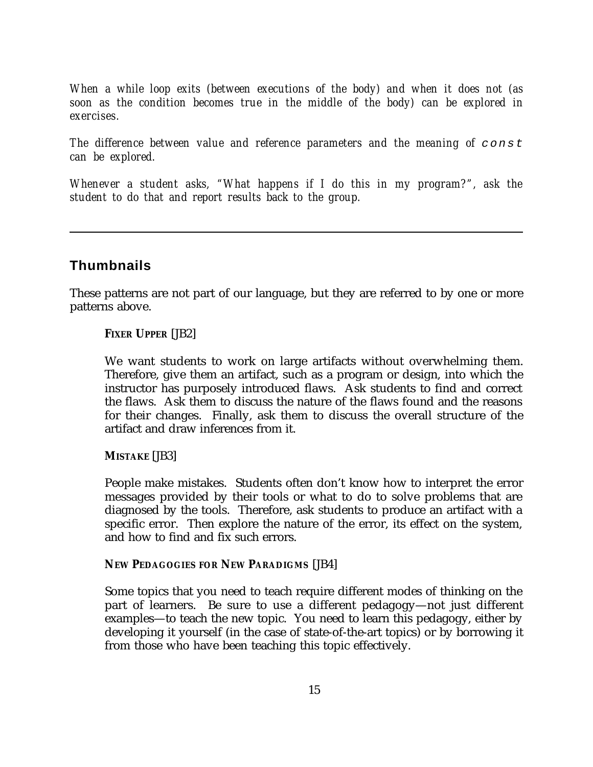*When a while loop exits (between executions of the body) and when it does not (as soon as the condition becomes true in the middle of the body) can be explored in exercises.*

*The difference between value and reference parameters and the meaning of* const *can be explored.*

*Whenever a student asks, "What happens if I do this in my program?", ask the student to do that and report results back to the group.*

# **Thumbnails**

These patterns are not part of our language, but they are referred to by one or more patterns above.

# **FIXER UPPER** [JB2]

We want students to work on large artifacts without overwhelming them. Therefore, give them an artifact, such as a program or design, into which the instructor has purposely introduced flaws. Ask students to find and correct the flaws. Ask them to discuss the nature of the flaws found and the reasons for their changes. Finally, ask them to discuss the overall structure of the artifact and draw inferences from it.

# **MISTAKE** [JB3]

People make mistakes. Students often don't know how to interpret the error messages provided by their tools or what to do to solve problems that are diagnosed by the tools. Therefore, ask students to produce an artifact with a specific error. Then explore the nature of the error, its effect on the system, and how to find and fix such errors.

### **NEW PEDAGOGIES FOR NEW PARADIGMS** [JB4]

Some topics that you need to teach require different modes of thinking on the part of learners. Be sure to use a different pedagogy—not just different examples—to teach the new topic. You need to learn this pedagogy, either by developing it yourself (in the case of state-of-the-art topics) or by borrowing it from those who have been teaching this topic effectively.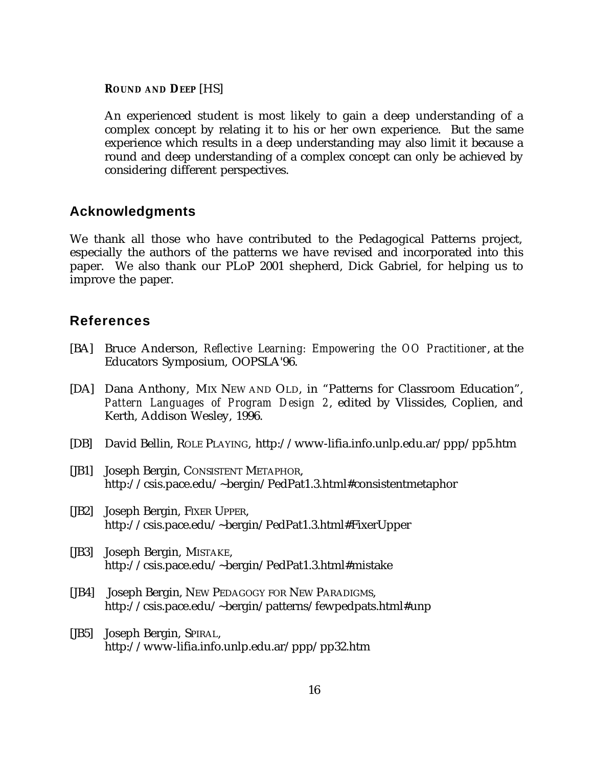#### **ROUND AND DEEP** [HS]

An experienced student is most likely to gain a deep understanding of a complex concept by relating it to his or her own experience. But the same experience which results in a deep understanding may also limit it because a round and deep understanding of a complex concept can only be achieved by considering different perspectives.

# **Acknowledgments**

We thank all those who have contributed to the Pedagogical Patterns project, especially the authors of the patterns we have revised and incorporated into this paper. We also thank our PLoP 2001 shepherd, Dick Gabriel, for helping us to improve the paper.

# **References**

- [BA] Bruce Anderson, *Reflective Learning: Empowering the OO Practitioner*, at the Educators Symposium, OOPSLA'96.
- [DA] Dana Anthony, MIX NEW AND OLD, in "Patterns for Classroom Education", *Pattern Languages of Program Design 2*, edited by Vlissides, Coplien, and Kerth, Addison Wesley, 1996.
- [DB] David Bellin, ROLE PLAYING, http://www-lifia.info.unlp.edu.ar/ppp/pp5.htm
- [JB1] Joseph Bergin, CONSISTENT METAPHOR, http://csis.pace.edu/~bergin/PedPat1.3.html#consistentmetaphor
- [JB2] Joseph Bergin, FIXER UPPER, http://csis.pace.edu/~bergin/PedPat1.3.html#FixerUpper
- [JB3] Joseph Bergin, MISTAKE, http://csis.pace.edu/~bergin/PedPat1.3.html#mistake
- [JB4] Joseph Bergin, NEW PEDAGOGY FOR NEW PARADIGMS, http://csis.pace.edu/~bergin/patterns/fewpedpats.html#unp
- [JB5] Joseph Bergin, SPIRAL, http://www-lifia.info.unlp.edu.ar/ppp/pp32.htm